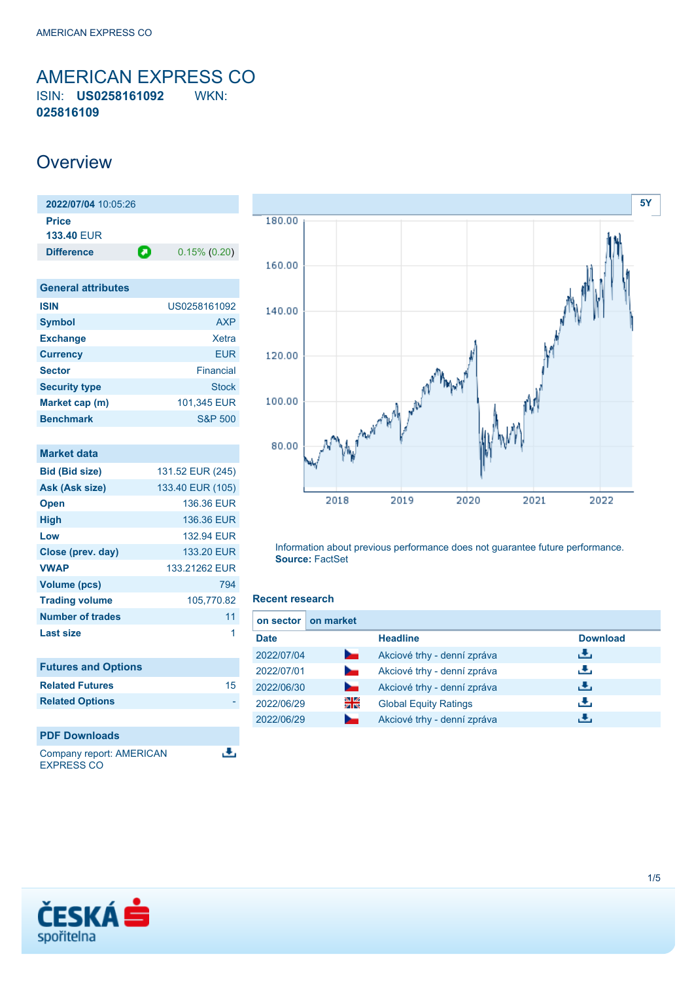<span id="page-0-0"></span>AMERICAN EXPRESS CO ISIN: **US0258161092** WKN: **025816109**

## **Overview**

| 2022/07/04 10:05:26 |   |                 |
|---------------------|---|-----------------|
| <b>Price</b>        |   |                 |
| <b>133.40 FUR</b>   |   |                 |
| <b>Difference</b>   | О | $0.15\%$ (0.20) |
|                     |   |                 |

| <b>General attributes</b> |                    |
|---------------------------|--------------------|
| <b>ISIN</b>               | US0258161092       |
| <b>Symbol</b>             | <b>AXP</b>         |
| <b>Exchange</b>           | Xetra              |
| <b>Currency</b>           | <b>EUR</b>         |
| <b>Sector</b>             | Financial          |
| <b>Security type</b>      | <b>Stock</b>       |
| Market cap (m)            | 101,345 EUR        |
| <b>Benchmark</b>          | <b>S&amp;P 500</b> |

| 131.52 EUR (245)<br>133.40 EUR (105) |
|--------------------------------------|
|                                      |
|                                      |
| 136.36 EUR                           |
| 136.36 EUR                           |
| 132.94 EUR                           |
| 133.20 EUR                           |
| 133.21262 EUR                        |
| 794                                  |
| 105,770.82                           |
| 11                                   |
| 1                                    |
|                                      |
| 15                                   |
|                                      |
|                                      |
|                                      |



Company report: AMERICAN EXPRESS CO



Information about previous performance does not guarantee future performance. **Source:** FactSet

### **Recent research**

医

| on sector   | on market          |                              |                 |
|-------------|--------------------|------------------------------|-----------------|
| <b>Date</b> |                    | <b>Headline</b>              | <b>Download</b> |
| 2022/07/04  | <b>Service</b>     | Akciové trhy - denní zpráva  | ريل             |
| 2022/07/01  |                    | Akciové trhy - denní zpráva  | رائي            |
| 2022/06/30  | <b>Service</b>     | Akciové trhy - denní zpráva  | رنان            |
| 2022/06/29  | 꾉뚢                 | <b>Global Equity Ratings</b> | æ,              |
| 2022/06/29  | <b>Designation</b> | Akciové trhy - denní zpráva  |                 |

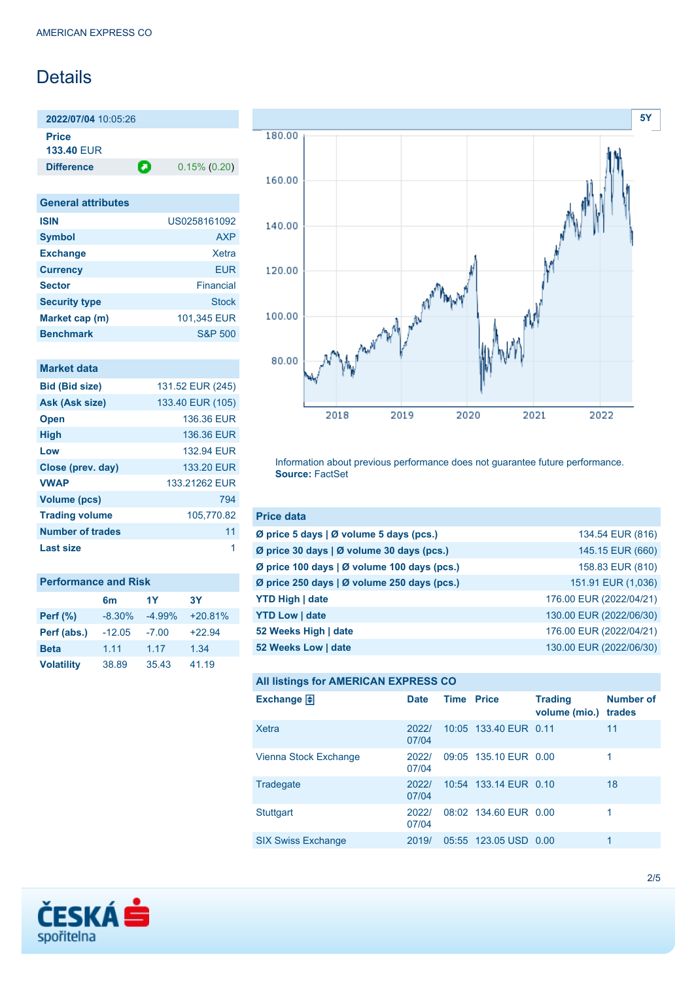# **Details**

**2022/07/04** 10:05:26 **Price**

**133.40** EUR

**Difference 0.15% (0.20)** 

| <b>General attributes</b> |              |
|---------------------------|--------------|
| <b>ISIN</b>               | US0258161092 |
| <b>Symbol</b>             | AXP          |
| <b>Exchange</b>           | Xetra        |
| <b>Currency</b>           | <b>EUR</b>   |
| <b>Sector</b>             | Financial    |
| <b>Security type</b>      | <b>Stock</b> |
| Market cap (m)            | 101,345 EUR  |
| <b>Benchmark</b>          | S&P 500      |

| <b>Market data</b>      |                  |
|-------------------------|------------------|
| <b>Bid (Bid size)</b>   | 131.52 EUR (245) |
| Ask (Ask size)          | 133.40 EUR (105) |
| <b>Open</b>             | 136.36 EUR       |
| <b>High</b>             | 136.36 EUR       |
| Low                     | 132.94 FUR       |
| Close (prev. day)       | 133.20 EUR       |
| <b>VWAP</b>             | 133.21262 EUR    |
| <b>Volume (pcs)</b>     | 794              |
| <b>Trading volume</b>   | 105,770.82       |
| <b>Number of trades</b> | 11               |
| Last size               | 1                |
|                         |                  |

| <b>Performance and Risk</b> |          |          |           |  |
|-----------------------------|----------|----------|-----------|--|
|                             | 6m       | 1Y       | <b>3Y</b> |  |
| <b>Perf (%)</b>             | $-8.30%$ | $-4.99%$ | $+20.81%$ |  |
| Perf (abs.)                 | $-12.05$ | $-7.00$  | $+22.94$  |  |
| <b>Beta</b>                 | 1.11     | 1.17     | 1.34      |  |
| <b>Volatility</b>           | 38.89    | 35.43    | 41.19     |  |



Information about previous performance does not guarantee future performance. **Source:** FactSet

| <b>Price data</b>                                         |                         |
|-----------------------------------------------------------|-------------------------|
| $\emptyset$ price 5 days $\emptyset$ volume 5 days (pcs.) | 134.54 EUR (816)        |
| Ø price 30 days   Ø volume 30 days (pcs.)                 | 145.15 EUR (660)        |
| Ø price 100 days   Ø volume 100 days (pcs.)               | 158.83 EUR (810)        |
| Ø price 250 days   Ø volume 250 days (pcs.)               | 151.91 EUR (1,036)      |
| <b>YTD High   date</b>                                    | 176.00 EUR (2022/04/21) |
| <b>YTD Low   date</b>                                     | 130.00 EUR (2022/06/30) |
| 52 Weeks High   date                                      | 176.00 EUR (2022/04/21) |
| 52 Weeks Low   date                                       | 130.00 EUR (2022/06/30) |

### **All listings for AMERICAN EXPRESS CO**

| Exchange $\Box$           | <b>Date</b>    | <b>Time Price</b> |                       | <b>Trading</b><br>volume (mio.) | <b>Number of</b><br>trades |
|---------------------------|----------------|-------------------|-----------------------|---------------------------------|----------------------------|
| Xetra                     | 2022/<br>07/04 |                   | 10:05 133.40 EUR 0.11 |                                 | 11                         |
| Vienna Stock Exchange     | 2022/<br>07/04 |                   | 09:05 135.10 EUR 0.00 |                                 |                            |
| Tradegate                 | 2022/<br>07/04 |                   | 10:54 133.14 EUR 0.10 |                                 | 18                         |
| <b>Stuttgart</b>          | 2022/<br>07/04 |                   | 08:02 134.60 EUR 0.00 |                                 | 1                          |
| <b>SIX Swiss Exchange</b> | 2019/          |                   | 05:55 123.05 USD 0.00 |                                 | 1                          |

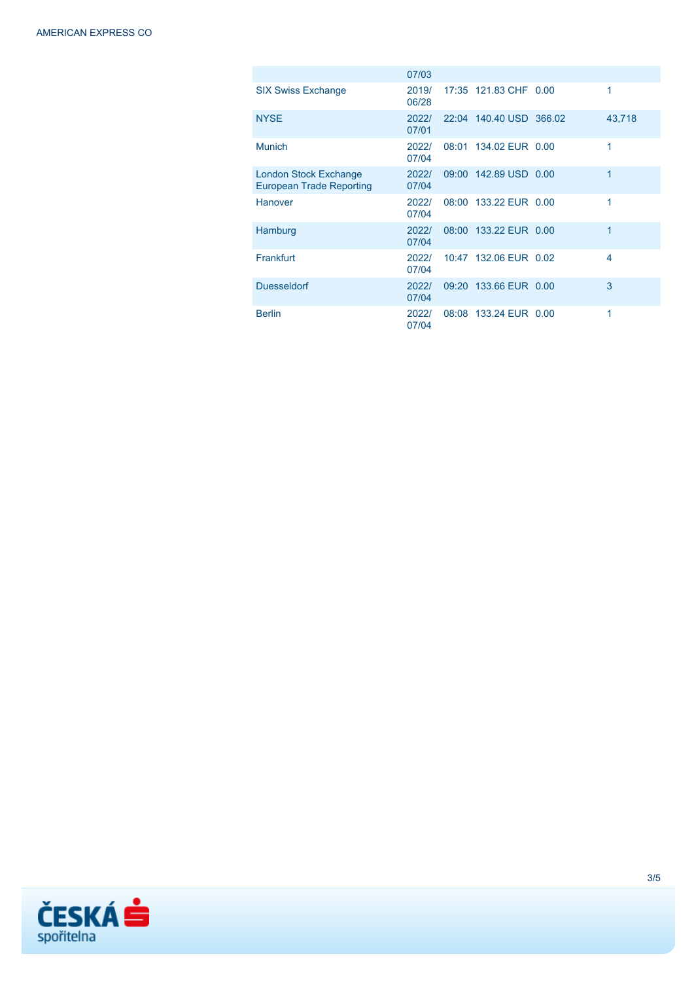|                                                          | 07/03          |                         |        |
|----------------------------------------------------------|----------------|-------------------------|--------|
| <b>SIX Swiss Exchange</b>                                | 2019/<br>06/28 | 17:35 121.83 CHF 0.00   | 1      |
| <b>NYSE</b>                                              | 2022/<br>07/01 | 22:04 140.40 USD 366.02 | 43,718 |
| <b>Munich</b>                                            | 2022/<br>07/04 | 08:01 134.02 EUR 0.00   | 1      |
| London Stock Exchange<br><b>European Trade Reporting</b> | 2022/<br>07/04 | 09:00 142.89 USD 0.00   | 1      |
| Hanover                                                  | 2022/<br>07/04 | 08:00 133.22 EUR 0.00   | 1      |
| Hamburg                                                  | 2022/<br>07/04 | 08:00 133.22 EUR 0.00   | 1      |
| Frankfurt                                                | 2022/<br>07/04 | 10:47 132.06 EUR 0.02   | 4      |
| <b>Duesseldorf</b>                                       | 2022/<br>07/04 | 09:20 133.66 EUR 0.00   | 3      |
| <b>Berlin</b>                                            | 2022/<br>07/04 | 08:08 133.24 EUR 0.00   | 1      |

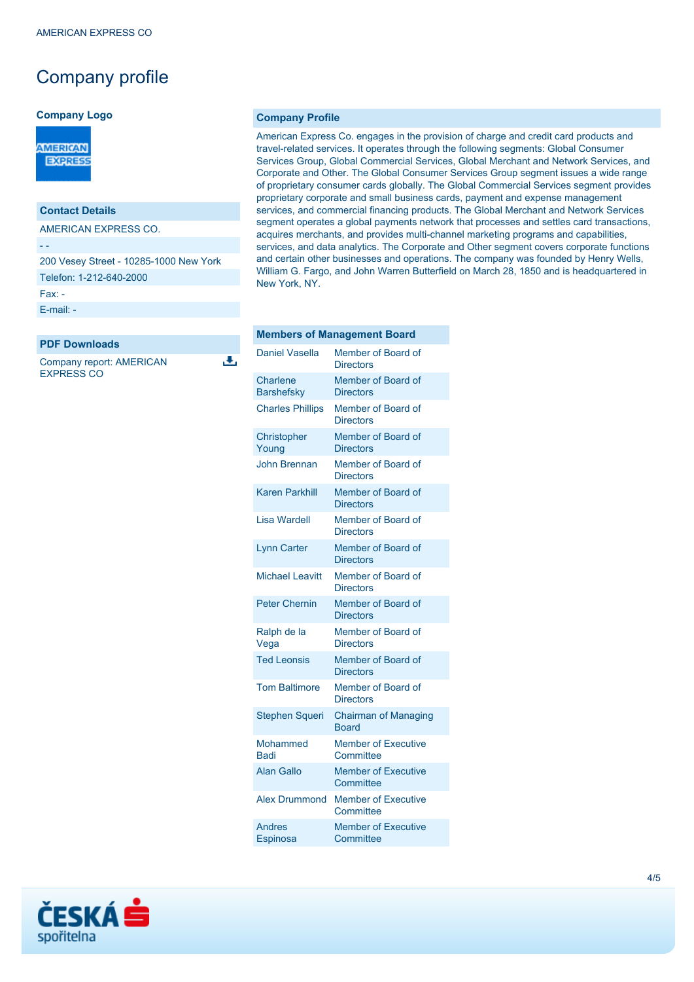## Company profile

#### **Company Logo**



### **Contact Details**

AMERICAN EXPRESS CO.

- -

200 Vesey Street - 10285-1000 New York

Telefon: 1-212-640-2000

Fax: -

[E-mail: -](mailto:-)

**PDF Downloads**

Company report: AMERICAN EXPRESS CO

J.

#### **Company Profile**

American Express Co. engages in the provision of charge and credit card products and travel-related services. It operates through the following segments: Global Consumer Services Group, Global Commercial Services, Global Merchant and Network Services, and Corporate and Other. The Global Consumer Services Group segment issues a wide range of proprietary consumer cards globally. The Global Commercial Services segment provides proprietary corporate and small business cards, payment and expense management services, and commercial financing products. The Global Merchant and Network Services segment operates a global payments network that processes and settles card transactions, acquires merchants, and provides multi-channel marketing programs and capabilities, services, and data analytics. The Corporate and Other segment covers corporate functions and certain other businesses and operations. The company was founded by Henry Wells, William G. Fargo, and John Warren Butterfield on March 28, 1850 and is headquartered in New York, NY.

|                               | <b>Members of Management Board</b>          |
|-------------------------------|---------------------------------------------|
| Daniel Vasella                | Member of Board of<br><b>Directors</b>      |
| Charlene<br><b>Barshefsky</b> | Member of Board of<br><b>Directors</b>      |
| <b>Charles Phillips</b>       | Member of Board of<br><b>Directors</b>      |
| Christopher<br>Young          | Member of Board of<br><b>Directors</b>      |
| <b>John Brennan</b>           | Member of Board of<br><b>Directors</b>      |
| <b>Karen Parkhill</b>         | Member of Board of<br><b>Directors</b>      |
| Lisa Wardell                  | Member of Board of<br><b>Directors</b>      |
| <b>Lynn Carter</b>            | Member of Board of<br><b>Directors</b>      |
| <b>Michael Leavitt</b>        | Member of Board of<br><b>Directors</b>      |
| <b>Peter Chernin</b>          | Member of Board of<br><b>Directors</b>      |
| Ralph de la<br>Vega           | Member of Board of<br><b>Directors</b>      |
| <b>Ted Leonsis</b>            | Member of Board of<br><b>Directors</b>      |
| <b>Tom Baltimore</b>          | Member of Board of<br><b>Directors</b>      |
| <b>Stephen Squeri</b>         | <b>Chairman of Managing</b><br><b>Board</b> |
| Mohammed<br><b>Badi</b>       | <b>Member of Executive</b><br>Committee     |
| <b>Alan Gallo</b>             | <b>Member of Executive</b><br>Committee     |
| <b>Alex Drummond</b>          | <b>Member of Executive</b><br>Committee     |
| Andres<br>Espinosa            | <b>Member of Executive</b><br>Committee     |
|                               |                                             |